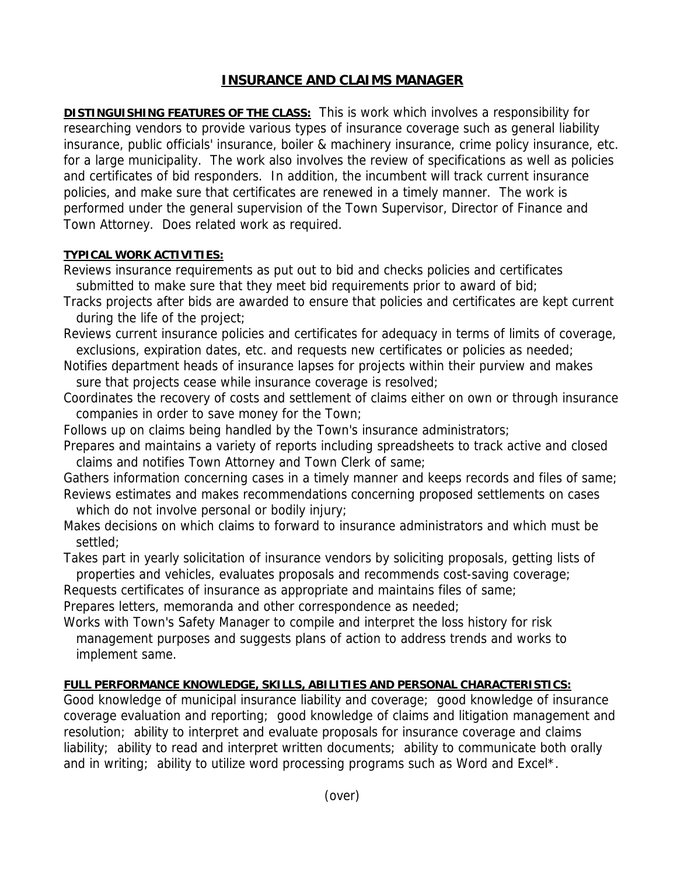## **INSURANCE AND CLAIMS MANAGER**

**DISTINGUISHING FEATURES OF THE CLASS:** This is work which involves a responsibility for researching vendors to provide various types of insurance coverage such as general liability insurance, public officials' insurance, boiler & machinery insurance, crime policy insurance, etc. for a large municipality. The work also involves the review of specifications as well as policies and certificates of bid responders. In addition, the incumbent will track current insurance policies, and make sure that certificates are renewed in a timely manner. The work is performed under the general supervision of the Town Supervisor, Director of Finance and Town Attorney. Does related work as required.

## **TYPICAL WORK ACTIVITIES:**

- Reviews insurance requirements as put out to bid and checks policies and certificates submitted to make sure that they meet bid requirements prior to award of bid;
- Tracks projects after bids are awarded to ensure that policies and certificates are kept current during the life of the project;
- Reviews current insurance policies and certificates for adequacy in terms of limits of coverage, exclusions, expiration dates, etc. and requests new certificates or policies as needed;
- Notifies department heads of insurance lapses for projects within their purview and makes sure that projects cease while insurance coverage is resolved;
- Coordinates the recovery of costs and settlement of claims either on own or through insurance companies in order to save money for the Town;
- Follows up on claims being handled by the Town's insurance administrators;
- Prepares and maintains a variety of reports including spreadsheets to track active and closed claims and notifies Town Attorney and Town Clerk of same;
- Gathers information concerning cases in a timely manner and keeps records and files of same; Reviews estimates and makes recommendations concerning proposed settlements on cases
- which do not involve personal or bodily injury;
- Makes decisions on which claims to forward to insurance administrators and which must be settled;

Takes part in yearly solicitation of insurance vendors by soliciting proposals, getting lists of properties and vehicles, evaluates proposals and recommends cost-saving coverage;

Requests certificates of insurance as appropriate and maintains files of same;

Prepares letters, memoranda and other correspondence as needed;

Works with Town's Safety Manager to compile and interpret the loss history for risk management purposes and suggests plans of action to address trends and works to implement same.

## **FULL PERFORMANCE KNOWLEDGE, SKILLS, ABILITIES AND PERSONAL CHARACTERISTICS:**

Good knowledge of municipal insurance liability and coverage; good knowledge of insurance coverage evaluation and reporting; good knowledge of claims and litigation management and resolution; ability to interpret and evaluate proposals for insurance coverage and claims liability; ability to read and interpret written documents; ability to communicate both orally and in writing; ability to utilize word processing programs such as Word and Excel\*.